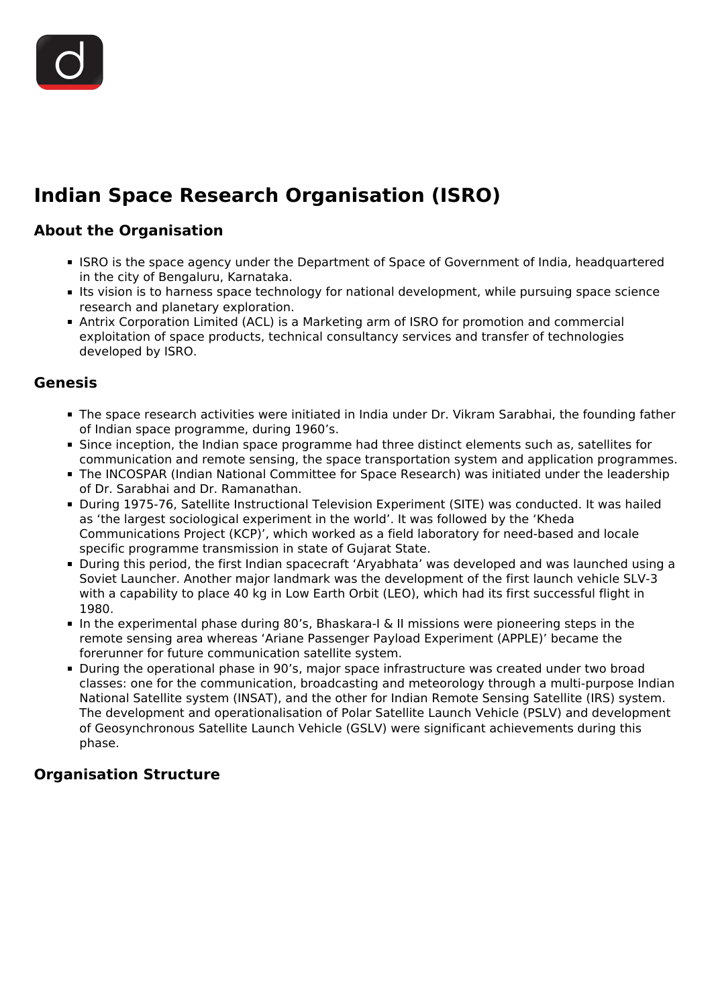# **Indian Space Research Organisation (ISRO)**

## **About the Organisation**

- ISRO is the space agency under the Department of Space of Government of India, headquartered in the city of Bengaluru, Karnataka.
- Its vision is to harness space technology for national development, while pursuing space science research and planetary exploration.
- Antrix Corporation Limited (ACL) is a Marketing arm of ISRO for promotion and commercial exploitation of space products, technical consultancy services and transfer of technologies developed by ISRO.

## **Genesis**

- The space research activities were initiated in India under Dr. Vikram Sarabhai, the founding father of Indian space programme, during 1960's.
- Since inception, the Indian space programme had three distinct elements such as, satellites for communication and remote sensing, the space transportation system and application programmes.
- The INCOSPAR (Indian National Committee for Space Research) was initiated under the leadership of Dr. Sarabhai and Dr. Ramanathan.
- During 1975-76, Satellite Instructional Television Experiment (SITE) was conducted. It was hailed as 'the largest sociological experiment in the world'. It was followed by the 'Kheda Communications Project (KCP)', which worked as a field laboratory for need-based and locale specific programme transmission in state of Gujarat State.
- During this period, the first Indian spacecraft 'Aryabhata' was developed and was launched using a Soviet Launcher. Another major landmark was the development of the first launch vehicle SLV-3 with a capability to place 40 kg in Low Earth Orbit (LEO), which had its first successful flight in 1980.
- In the experimental phase during 80's, Bhaskara-I & II missions were pioneering steps in the remote sensing area whereas 'Ariane Passenger Payload Experiment (APPLE)' became the forerunner for future communication satellite system.
- During the operational phase in 90's, major space infrastructure was created under two broad classes: one for the communication, broadcasting and meteorology through a multi-purpose Indian National Satellite system (INSAT), and the other for Indian Remote Sensing Satellite (IRS) system. The development and operationalisation of Polar Satellite Launch Vehicle (PSLV) and development of Geosynchronous Satellite Launch Vehicle (GSLV) were significant achievements during this phase.

# **Organisation Structure**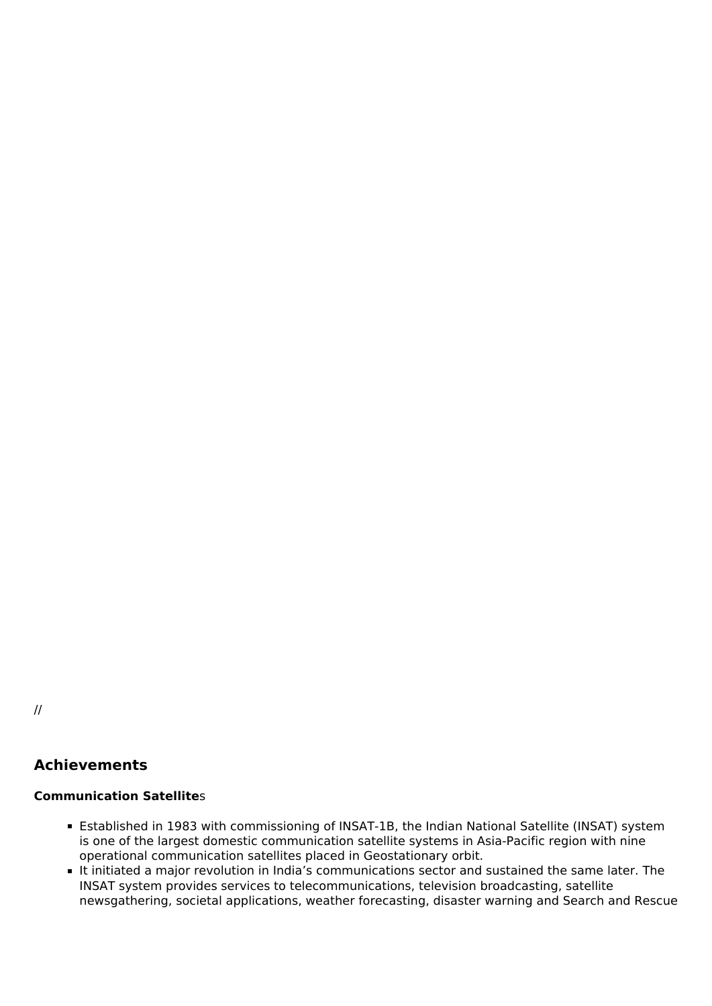//

## **Achievements**

#### **Communication Satellite**s

- Established in 1983 with commissioning of INSAT-1B, the Indian National Satellite (INSAT) system is one of the largest domestic communication satellite systems in Asia-Pacific region with nine operational communication satellites placed in Geostationary orbit.
- It initiated a major revolution in India's communications sector and sustained the same later. The INSAT system provides services to telecommunications, television broadcasting, satellite newsgathering, societal applications, weather forecasting, disaster warning and Search and Rescue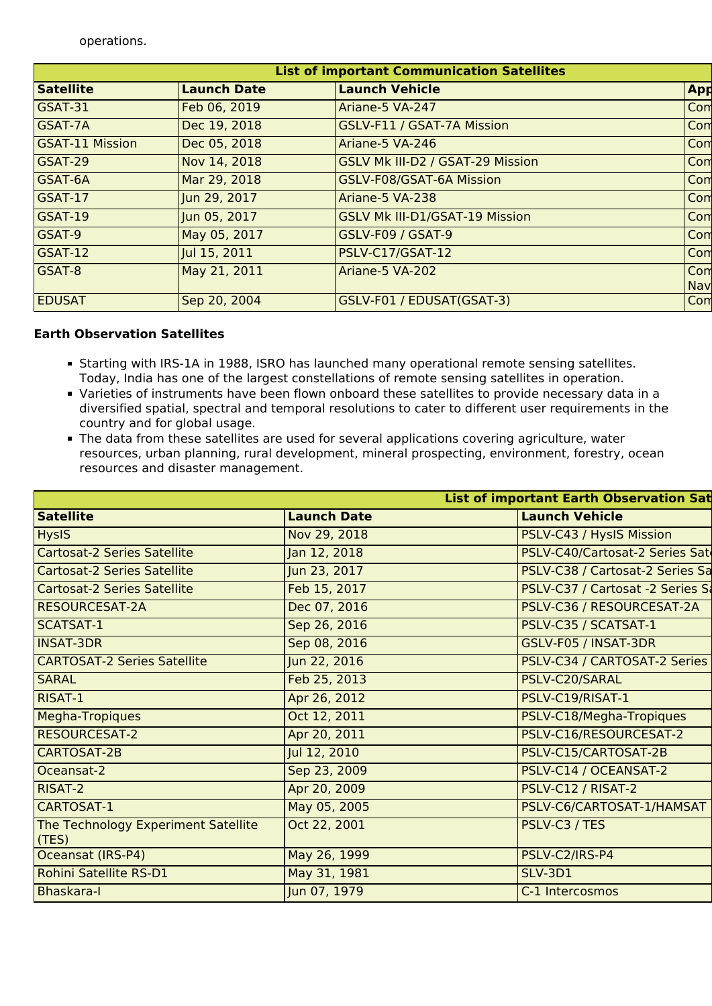operations.

| <b>List of important Communication Satellites</b> |                    |                                       |     |  |
|---------------------------------------------------|--------------------|---------------------------------------|-----|--|
| <b>Satellite</b>                                  | <b>Launch Date</b> | <b>Launch Vehicle</b>                 | App |  |
| GSAT-31                                           | Feb 06, 2019       | Ariane-5 VA-247                       | Com |  |
| GSAT-7A                                           | Dec 19, 2018       | GSLV-F11 / GSAT-7A Mission            | Com |  |
| <b>GSAT-11 Mission</b>                            | Dec 05, 2018       | Ariane-5 VA-246                       | Com |  |
| GSAT-29                                           | Nov 14, 2018       | GSLV Mk III-D2 / GSAT-29 Mission      | Com |  |
| <b>GSAT-6A</b>                                    | Mar 29, 2018       | GSLV-F08/GSAT-6A Mission              | Com |  |
| GSAT-17                                           | Jun 29, 2017       | Ariane-5 VA-238                       | Com |  |
| GSAT-19                                           | Jun 05, 2017       | <b>GSLV Mk III-D1/GSAT-19 Mission</b> | Com |  |
| GSAT-9                                            | May 05, 2017       | <b>GSLV-F09 / GSAT-9</b>              | Com |  |
| GSAT-12                                           | Jul 15, 2011       | PSLV-C17/GSAT-12                      | Com |  |
| GSAT-8                                            | May 21, 2011       | Ariane-5 VA-202                       | Com |  |
|                                                   |                    |                                       | Nav |  |
| <b>EDUSAT</b>                                     | Sep 20, 2004       | GSLV-F01 / EDUSAT(GSAT-3)             | Com |  |

## **Earth Observation Satellites**

- Starting with IRS-1A in 1988, ISRO has launched many operational remote sensing satellites. Today, India has one of the largest constellations of remote sensing satellites in operation.
- Varieties of instruments have been flown onboard these satellites to provide necessary data in a diversified spatial, spectral and temporal resolutions to cater to different user requirements in the country and for global usage.
- The data from these satellites are used for several applications covering agriculture, water resources, urban planning, rural development, mineral prospecting, environment, forestry, ocean resources and disaster management.

| <b>List of important Earth Observation Sat</b> |                    |                                  |  |
|------------------------------------------------|--------------------|----------------------------------|--|
| <b>Satellite</b>                               | <b>Launch Date</b> | <b>Launch Vehicle</b>            |  |
| <b>HysIS</b>                                   | Nov 29, 2018       | PSLV-C43 / HysIS Mission         |  |
| <b>Cartosat-2 Series Satellite</b>             | Jan 12, 2018       | PSLV-C40/Cartosat-2 Series Sate  |  |
| <b>Cartosat-2 Series Satellite</b>             | Jun 23, 2017       | PSLV-C38 / Cartosat-2 Series Sa  |  |
| <b>Cartosat-2 Series Satellite</b>             | Feb 15, 2017       | PSLV-C37 / Cartosat -2 Series Sa |  |
| <b>RESOURCESAT-2A</b>                          | Dec 07, 2016       | PSLV-C36 / RESOURCESAT-2A        |  |
| <b>SCATSAT-1</b>                               | Sep 26, 2016       | PSLV-C35 / SCATSAT-1             |  |
| <b>INSAT-3DR</b>                               | Sep 08, 2016       | GSLV-F05 / INSAT-3DR             |  |
| <b>CARTOSAT-2 Series Satellite</b>             | Jun 22, 2016       | PSLV-C34 / CARTOSAT-2 Series     |  |
| <b>SARAL</b>                                   | Feb 25, 2013       | PSLV-C20/SARAL                   |  |
| RISAT-1                                        | Apr 26, 2012       | PSLV-C19/RISAT-1                 |  |
| Megha-Tropiques                                | Oct 12, 2011       | PSLV-C18/Megha-Tropiques         |  |
| <b>RESOURCESAT-2</b>                           | Apr 20, 2011       | PSLV-C16/RESOURCESAT-2           |  |
| CARTOSAT-2B                                    | Jul 12, 2010       | PSLV-C15/CARTOSAT-2B             |  |
| Oceansat-2                                     | Sep 23, 2009       | PSLV-C14 / OCEANSAT-2            |  |
| <b>RISAT-2</b>                                 | Apr 20, 2009       | PSLV-C12 / RISAT-2               |  |
| CARTOSAT-1                                     | May 05, 2005       | PSLV-C6/CARTOSAT-1/HAMSAT        |  |
| The Technology Experiment Satellite<br>(TES)   | Oct 22, 2001       | PSLV-C3 / TES                    |  |
| Oceansat (IRS-P4)                              | May 26, 1999       | PSLV-C2/IRS-P4                   |  |
| Rohini Satellite RS-D1                         | May 31, 1981       | <b>SLV-3D1</b>                   |  |
| <b>Bhaskara-I</b>                              | Jun 07, 1979       | C-1 Intercosmos                  |  |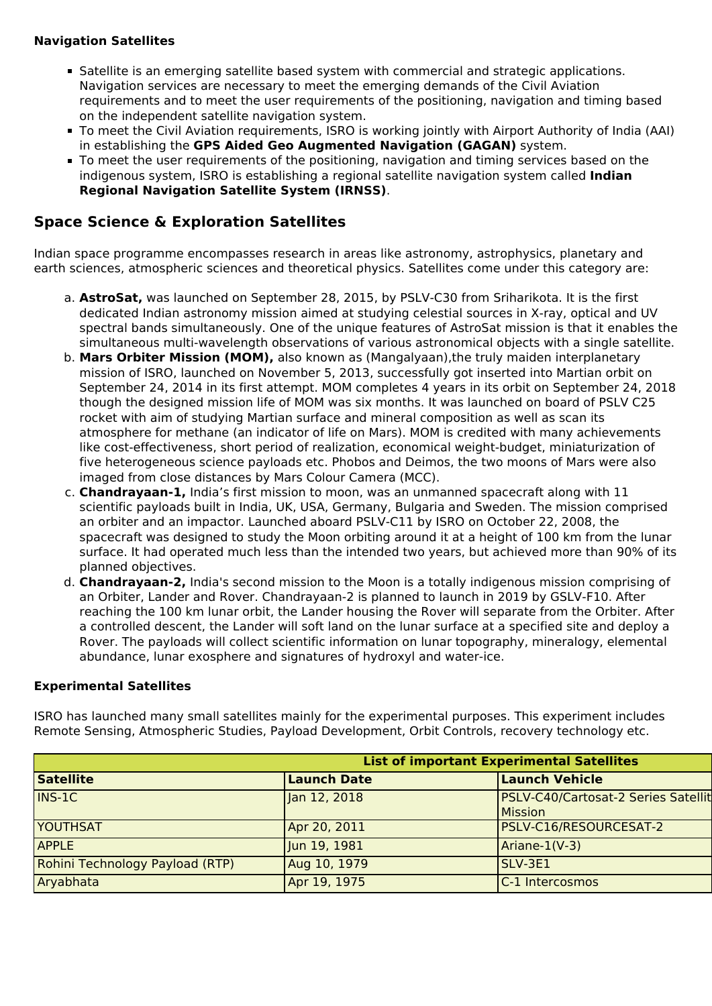## **Navigation Satellites**

- Satellite is an emerging satellite based system with commercial and strategic applications. Navigation services are necessary to meet the emerging demands of the Civil Aviation requirements and to meet the user requirements of the positioning, navigation and timing based on the independent satellite navigation system.
- To meet the Civil Aviation requirements, ISRO is working jointly with Airport Authority of India (AAI) in establishing the **GPS Aided Geo Augmented Navigation (GAGAN)** system.
- To meet the user requirements of the positioning, navigation and timing services based on the indigenous system, ISRO is establishing a regional satellite navigation system called **Indian Regional Navigation Satellite System (IRNSS)**.

## **Space Science & Exploration Satellites**

Indian space programme encompasses research in areas like astronomy, astrophysics, planetary and earth sciences, atmospheric sciences and theoretical physics. Satellites come under this category are:

- a. **AstroSat,** was launched on September 28, 2015, by PSLV-C30 from Sriharikota. It is the first dedicated Indian astronomy mission aimed at studying celestial sources in X-ray, optical and UV spectral bands simultaneously. One of the unique features of AstroSat mission is that it enables the simultaneous multi-wavelength observations of various astronomical objects with a single satellite.
- b. **Mars Orbiter Mission (MOM),** also known as (Mangalyaan),the truly maiden interplanetary mission of ISRO, launched on November 5, 2013, successfully got inserted into Martian orbit on September 24, 2014 in its first attempt. MOM completes 4 years in its orbit on September 24, 2018 though the designed mission life of MOM was six months. It was launched on board of PSLV C25 rocket with aim of studying Martian surface and mineral composition as well as scan its atmosphere for methane (an indicator of life on Mars). MOM is credited with many achievements like cost-effectiveness, short period of realization, economical weight-budget, miniaturization of five heterogeneous science payloads etc. Phobos and Deimos, the two moons of Mars were also imaged from close distances by Mars Colour Camera (MCC).
- c. **Chandrayaan-1,** India's first mission to moon, was an unmanned spacecraft along with 11 scientific payloads built in India, UK, USA, Germany, Bulgaria and Sweden. The mission comprised an orbiter and an impactor. Launched aboard PSLV-C11 by ISRO on October 22, 2008, the spacecraft was designed to study the Moon orbiting around it at a height of 100 km from the lunar surface. It had operated much less than the intended two years, but achieved more than 90% of its planned objectives.
- d. **Chandrayaan-2,** India's second mission to the Moon is a totally indigenous mission comprising of an Orbiter, Lander and Rover. Chandrayaan-2 is planned to launch in 2019 by GSLV-F10. After reaching the 100 km lunar orbit, the Lander housing the Rover will separate from the Orbiter. After a controlled descent, the Lander will soft land on the lunar surface at a specified site and deploy a Rover. The payloads will collect scientific information on lunar topography, mineralogy, elemental abundance, lunar exosphere and signatures of hydroxyl and water-ice.

#### **Experimental Satellites**

ISRO has launched many small satellites mainly for the experimental purposes. This experiment includes Remote Sensing, Atmospheric Studies, Payload Development, Orbit Controls, recovery technology etc.

| <b>List of important Experimental Satellites</b> |                                 |                    |                                                       |
|--------------------------------------------------|---------------------------------|--------------------|-------------------------------------------------------|
|                                                  | <b>Satellite</b>                | <b>Launch Date</b> | <b>Launch Vehicle</b>                                 |
|                                                  | $INS-1C$                        | Jan 12, 2018       | PSLV-C40/Cartosat-2 Series Satellit<br><b>Mission</b> |
|                                                  | <b>YOUTHSAT</b>                 | Apr 20, 2011       | PSLV-C16/RESOURCESAT-2                                |
|                                                  | <b>APPLE</b>                    | Uun 19, 1981       | Ariane-1(V-3)                                         |
|                                                  | Rohini Technology Payload (RTP) | Aug 10, 1979       | SLV-3E1                                               |
|                                                  | Aryabhata                       | Apr 19, 1975       | C-1 Intercosmos                                       |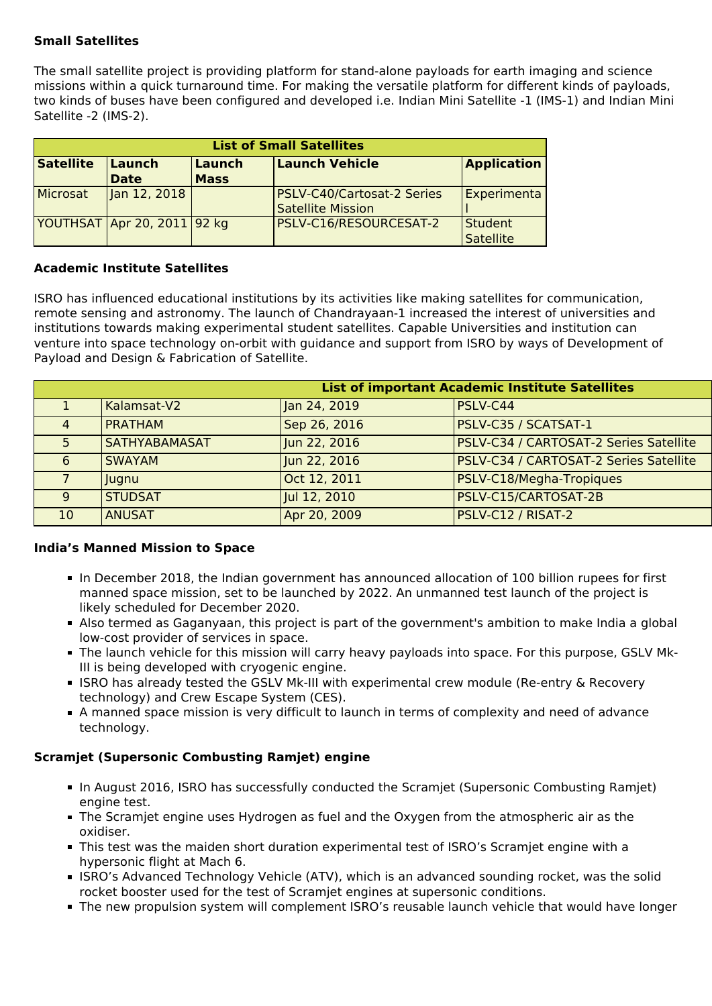## **Small Satellites**

The small satellite project is providing platform for stand-alone payloads for earth imaging and science missions within a quick turnaround time. For making the versatile platform for different kinds of payloads, two kinds of buses have been configured and developed i.e. Indian Mini Satellite -1 (IMS-1) and Indian Mini Satellite -2 (IMS-2).

| <b>List of Small Satellites</b> |                             |             |                            |                    |
|---------------------------------|-----------------------------|-------------|----------------------------|--------------------|
| <b>Satellite</b>                | <b>Launch</b>               | Launch      | <b>Launch Vehicle</b>      | <b>Application</b> |
|                                 | <b>Date</b>                 | <b>Mass</b> |                            |                    |
| Microsat                        | Jan 12, 2018                |             | PSLV-C40/Cartosat-2 Series | Experimenta        |
|                                 |                             |             | <b>Satellite Mission</b>   |                    |
|                                 | YOUTHSAT Apr 20, 2011 92 kg |             | PSLV-C16/RESOURCESAT-2     | <b>Student</b>     |
|                                 |                             |             |                            | <b>Satellite</b>   |

#### **Academic Institute Satellites**

ISRO has influenced educational institutions by its activities like making satellites for communication, remote sensing and astronomy. The launch of Chandrayaan-1 increased the interest of universities and institutions towards making experimental student satellites. Capable Universities and institution can venture into space technology on-orbit with guidance and support from ISRO by ways of Development of Payload and Design & Fabrication of Satellite.

|    | <b>List of important Academic Institute Satellites</b> |              |                                        |  |  |
|----|--------------------------------------------------------|--------------|----------------------------------------|--|--|
|    | Kalamsat-V2                                            | Jan 24, 2019 | <b>PSLV-C44</b>                        |  |  |
| 4  | <b>PRATHAM</b>                                         | Sep 26, 2016 | PSLV-C35 / SCATSAT-1                   |  |  |
| 5. | <b>SATHYABAMASAT</b>                                   | Jun 22, 2016 | PSLV-C34 / CARTOSAT-2 Series Satellite |  |  |
| 6  | <b>SWAYAM</b>                                          | Jun 22, 2016 | PSLV-C34 / CARTOSAT-2 Series Satellite |  |  |
|    | Hugnu                                                  | Oct 12, 2011 | PSLV-C18/Megha-Tropiques               |  |  |
| 9  | <b>STUDSAT</b>                                         | Jul 12, 2010 | PSLV-C15/CARTOSAT-2B                   |  |  |
| 10 | <b>ANUSAT</b>                                          | Apr 20, 2009 | <b>PSLV-C12 / RISAT-2</b>              |  |  |

#### **India's Manned Mission to Space**

- In December 2018, the Indian government has announced allocation of 100 billion rupees for first manned space mission, set to be launched by 2022. An unmanned test launch of the project is likely scheduled for December 2020.
- Also termed as Gaganyaan, this project is part of the government's ambition to make India a global low-cost provider of services in space.
- The launch vehicle for this mission will carry heavy payloads into space. For this purpose, GSLV Mk-III is being developed with cryogenic engine.
- **ISRO has already tested the GSLV Mk-III with experimental crew module (Re-entry & Recovery** technology) and Crew Escape System (CES).
- A manned space mission is very difficult to launch in terms of complexity and need of advance technology.

## **Scramjet (Supersonic Combusting Ramjet) engine**

- In August 2016, ISRO has successfully conducted the Scramjet (Supersonic Combusting Ramjet) engine test.
- The Scramjet engine uses Hydrogen as fuel and the Oxygen from the atmospheric air as the oxidiser.
- This test was the maiden short duration experimental test of ISRO's Scramjet engine with a hypersonic flight at Mach 6.
- ISRO's Advanced Technology Vehicle (ATV), which is an advanced sounding rocket, was the solid rocket booster used for the test of Scramjet engines at supersonic conditions.
- The new propulsion system will complement ISRO's reusable launch vehicle that would have longer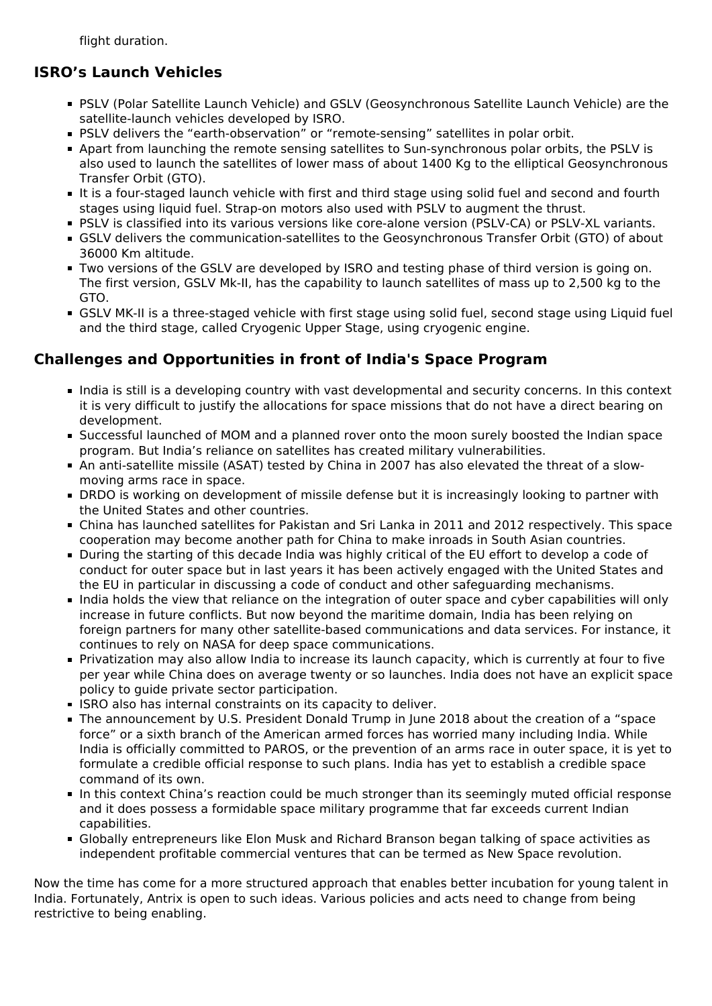flight duration.

# **ISRO's Launch Vehicles**

- PSLV (Polar Satellite Launch Vehicle) and GSLV (Geosynchronous Satellite Launch Vehicle) are the satellite-launch vehicles developed by ISRO.
- **PSLV** delivers the "earth-observation" or "remote-sensing" satellites in polar orbit.
- Apart from launching the remote sensing satellites to Sun-synchronous polar orbits, the PSLV is also used to launch the satellites of lower mass of about 1400 Kg to the elliptical Geosynchronous Transfer Orbit (GTO).
- It is a four-staged launch vehicle with first and third stage using solid fuel and second and fourth stages using liquid fuel. Strap-on motors also used with PSLV to augment the thrust.
- **PSLV** is classified into its various versions like core-alone version (PSLV-CA) or PSLV-XL variants.
- GSLV delivers the communication-satellites to the Geosynchronous Transfer Orbit (GTO) of about 36000 Km altitude.
- Two versions of the GSLV are developed by ISRO and testing phase of third version is going on. The first version, GSLV Mk-II, has the capability to launch satellites of mass up to 2,500 kg to the GTO.
- GSLV MK-II is a three-staged vehicle with first stage using solid fuel, second stage using Liquid fuel and the third stage, called Cryogenic Upper Stage, using cryogenic engine.

## **Challenges and Opportunities in front of India's Space Program**

- India is still is a developing country with vast developmental and security concerns. In this context it is very difficult to justify the allocations for space missions that do not have a direct bearing on development.
- Successful launched of MOM and a planned rover onto the moon surely boosted the Indian space program. But India's reliance on satellites has created military vulnerabilities.
- An anti-satellite missile (ASAT) tested by China in 2007 has also elevated the threat of a slowmoving arms race in space.
- DRDO is working on development of missile defense but it is increasingly looking to partner with the United States and other countries.
- China has launched satellites for Pakistan and Sri Lanka in 2011 and 2012 respectively. This space cooperation may become another path for China to make inroads in South Asian countries.
- During the starting of this decade India was highly critical of the EU effort to develop a code of conduct for outer space but in last years it has been actively engaged with the United States and the EU in particular in discussing a code of conduct and other safeguarding mechanisms.
- India holds the view that reliance on the integration of outer space and cyber capabilities will only increase in future conflicts. But now beyond the maritime domain, India has been relying on foreign partners for many other satellite-based communications and data services. For instance, it continues to rely on NASA for deep space communications.
- Privatization may also allow India to increase its launch capacity, which is currently at four to five per year while China does on average twenty or so launches. India does not have an explicit space policy to guide private sector participation.
- **ISRO also has internal constraints on its capacity to deliver.**
- The announcement by U.S. President Donald Trump in June 2018 about the creation of a "space force" or a sixth branch of the American armed forces has worried many including India. While India is officially committed to PAROS, or the prevention of an arms race in outer space, it is yet to formulate a credible official response to such plans. India has yet to establish a credible space command of its own.
- In this context China's reaction could be much stronger than its seemingly muted official response and it does possess a formidable space military programme that far exceeds current Indian capabilities.
- Globally entrepreneurs like Elon Musk and Richard Branson began talking of space activities as independent profitable commercial ventures that can be termed as New Space revolution.

Now the time has come for a more structured approach that enables better incubation for young talent in India. Fortunately, Antrix is open to such ideas. Various policies and acts need to change from being restrictive to being enabling.